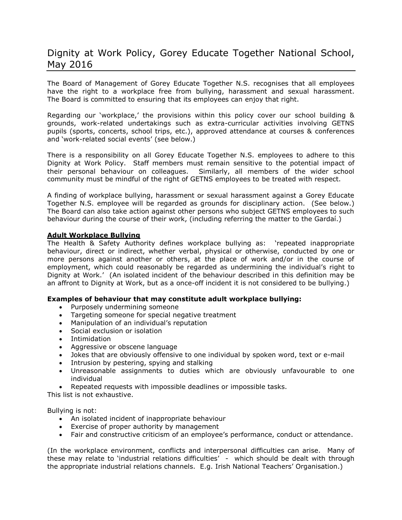# Dignity at Work Policy, Gorey Educate Together National School, May 2016

The Board of Management of Gorey Educate Together N.S. recognises that all employees have the right to a workplace free from bullying, harassment and sexual harassment. The Board is committed to ensuring that its employees can enjoy that right.

Regarding our 'workplace,' the provisions within this policy cover our school building & grounds, work-related undertakings such as extra-curricular activities involving GETNS pupils (sports, concerts, school trips, etc.), approved attendance at courses & conferences and 'work-related social events' (see below.)

There is a responsibility on all Gorey Educate Together N.S. employees to adhere to this Dignity at Work Policy. Staff members must remain sensitive to the potential impact of their personal behaviour on colleagues. Similarly, all members of the wider school community must be mindful of the right of GETNS employees to be treated with respect.

A finding of workplace bullying, harassment or sexual harassment against a Gorey Educate Together N.S. employee will be regarded as grounds for disciplinary action. (See below.) The Board can also take action against other persons who subject GETNS employees to such behaviour during the course of their work, (including referring the matter to the Gardaí.)

## **Adult Workplace Bullying**

The Health & Safety Authority defines workplace bullying as: 'repeated inappropriate behaviour, direct or indirect, whether verbal, physical or otherwise, conducted by one or more persons against another or others, at the place of work and/or in the course of employment, which could reasonably be regarded as undermining the individual's right to Dignity at Work.' (An isolated incident of the behaviour described in this definition may be an affront to Dignity at Work, but as a once-off incident it is not considered to be bullying.)

## **Examples of behaviour that may constitute adult workplace bullying:**

- Purposely undermining someone
- Targeting someone for special negative treatment
- Manipulation of an individual's reputation
- Social exclusion or isolation
- Intimidation
- Aggressive or obscene language
- Jokes that are obviously offensive to one individual by spoken word, text or e-mail
- Intrusion by pestering, spying and stalking
- Unreasonable assignments to duties which are obviously unfavourable to one individual
- Repeated requests with impossible deadlines or impossible tasks.

This list is not exhaustive.

Bullying is not:

- An isolated incident of inappropriate behaviour
- Exercise of proper authority by management
- Fair and constructive criticism of an employee's performance, conduct or attendance.

(In the workplace environment, conflicts and interpersonal difficulties can arise. Many of these may relate to 'industrial relations difficulties' - which should be dealt with through the appropriate industrial relations channels. E.g. Irish National Teachers' Organisation.)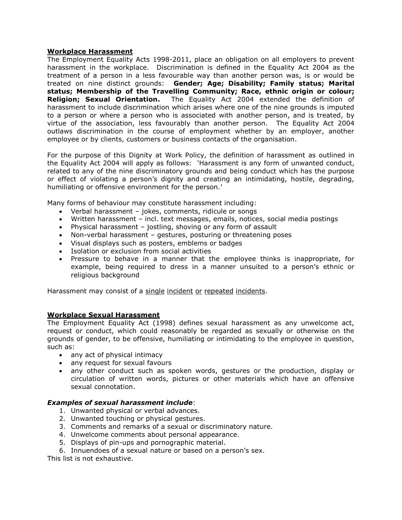#### **Workplace Harassment**

The Employment Equality Acts 1998-2011, place an obligation on all employers to prevent harassment in the workplace. Discrimination is defined in the Equality Act 2004 as the treatment of a person in a less favourable way than another person was, is or would be treated on nine distinct grounds: **Gender; Age; Disability; Family status; Marital status; Membership of the Travelling Community; Race, ethnic origin or colour; Religion; Sexual Orientation.** The Equality Act 2004 extended the definition of harassment to include discrimination which arises where one of the nine grounds is imputed to a person or where a person who is associated with another person, and is treated, by virtue of the association, less favourably than another person.The Equality Act 2004 outlaws discrimination in the course of employment whether by an employer, another employee or by clients, customers or business contacts of the organisation.

For the purpose of this Dignity at Work Policy, the definition of harassment as outlined in the Equality Act 2004 will apply as follows: 'Harassment is any form of unwanted conduct, related to any of the nine discriminatory grounds and being conduct which has the purpose or effect of violating a person's dignity and creating an intimidating, hostile, degrading, humiliating or offensive environment for the person.'

Many forms of behaviour may constitute harassment including:

- Verbal harassment jokes, comments, ridicule or songs
- Written harassment incl. text messages, emails, notices, social media postings
- Physical harassment jostling, shoving or any form of assault
- Non-verbal harassment gestures, posturing or threatening poses
- Visual displays such as posters, emblems or badges
- Isolation or exclusion from social activities
- Pressure to behave in a manner that the employee thinks is inappropriate, for example, being required to dress in a manner unsuited to a person's ethnic or religious background

Harassment may consist of a single incident or repeated incidents.

#### **Workplace Sexual Harassment**

The Employment Equality Act (1998) defines sexual harassment as any unwelcome act, request or conduct, which could reasonably be regarded as sexually or otherwise on the grounds of gender, to be offensive, humiliating or intimidating to the employee in question, such as:

- any act of physical intimacy
- any request for sexual favours
- any other conduct such as spoken words, gestures or the production, display or circulation of written words, pictures or other materials which have an offensive sexual connotation.

## *Examples of sexual harassment include*:

- 1. Unwanted physical or verbal advances.
- 2. Unwanted touching or physical gestures.
- 3. Comments and remarks of a sexual or discriminatory nature.
- 4. Unwelcome comments about personal appearance.
- 5. Displays of pin-ups and pornographic material.
- 6. Innuendoes of a sexual nature or based on a person's sex.

This list is not exhaustive.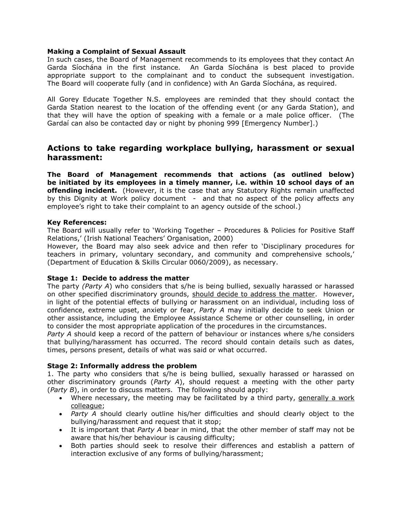#### **Making a Complaint of Sexual Assault**

In such cases, the Board of Management recommends to its employees that they contact An Garda Síochána in the first instance. An Garda Síochána is best placed to provide appropriate support to the complainant and to conduct the subsequent investigation. The Board will cooperate fully (and in confidence) with An Garda Síochána, as required.

All Gorey Educate Together N.S. employees are reminded that they should contact the Garda Station nearest to the location of the offending event (or any Garda Station), and that they will have the option of speaking with a female or a male police officer. (The Gardaí can also be contacted day or night by phoning 999 [Emergency Number].)

# **Actions to take regarding workplace bullying, harassment or sexual harassment:**

**The Board of Management recommends that actions (as outlined below) be initiated by its employees in a timely manner, i.e. within 10 school days of an offending incident.** (However, it is the case that any Statutory Rights remain unaffected by this Dignity at Work policy document - and that no aspect of the policy affects any employee's right to take their complaint to an agency outside of the school.)

## **Key References:**

The Board will usually refer to 'Working Together – Procedures & Policies for Positive Staff Relations,' (Irish National Teachers' Organisation, 2000)

However, the Board may also seek advice and then refer to 'Disciplinary procedures for teachers in primary, voluntary secondary, and community and comprehensive schools,' (Department of Education & Skills Circular 0060/2009), as necessary.

## **Stage 1: Decide to address the matter**

The party *(Party A*) who considers that s/he is being bullied, sexually harassed or harassed on other specified discriminatory grounds, should decide to address the matter. However, in light of the potential effects of bullying or harassment on an individual, including loss of confidence, extreme upset, anxiety or fear, *Party A* may initially decide to seek Union or other assistance, including the Employee Assistance Scheme or other counselling, in order to consider the most appropriate application of the procedures in the circumstances.

*Party A* should keep a record of the pattern of behaviour or instances where s/he considers that bullying/harassment has occurred. The record should contain details such as dates, times, persons present, details of what was said or what occurred.

## **Stage 2: Informally address the problem**

1. The party who considers that s/he is being bullied, sexually harassed or harassed on other discriminatory grounds (*Party A*), should request a meeting with the other party (*Party B*), in order to discuss matters. The following should apply:

- Where necessary, the meeting may be facilitated by a third party, generally a work colleague;
- *Party A* should clearly outline his/her difficulties and should clearly object to the bullying/harassment and request that it stop;
- It is important that *Party A* bear in mind, that the other member of staff may not be aware that his/her behaviour is causing difficulty;
- Both parties should seek to resolve their differences and establish a pattern of interaction exclusive of any forms of bullying/harassment;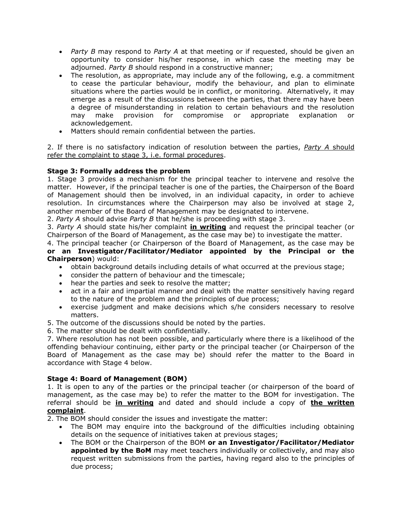- *Party B* may respond to *Party A* at that meeting or if requested, should be given an opportunity to consider his/her response, in which case the meeting may be adjourned. *Party B* should respond in a constructive manner:
- The resolution, as appropriate, may include any of the following, e.g. a commitment to cease the particular behaviour, modify the behaviour, and plan to eliminate situations where the parties would be in conflict, or monitoring. Alternatively, it may emerge as a result of the discussions between the parties, that there may have been a degree of misunderstanding in relation to certain behaviours and the resolution may make provision for compromise or appropriate explanation or acknowledgement.
- Matters should remain confidential between the parties.

2. If there is no satisfactory indication of resolution between the parties, *Party A* should refer the complaint to stage 3, i.e. formal procedures.

# **Stage 3: Formally address the problem**

1. Stage 3 provides a mechanism for the principal teacher to intervene and resolve the matter. However, if the principal teacher is one of the parties, the Chairperson of the Board of Management should then be involved, in an individual capacity, in order to achieve resolution. In circumstances where the Chairperson may also be involved at stage 2, another member of the Board of Management may be designated to intervene.

2. *Party A* should advise *Party B* that he/she is proceeding with stage 3.

3. *Party A* should state his/her complaint **in writing** and request the principal teacher (or Chairperson of the Board of Management, as the case may be) to investigate the matter.

4. The principal teacher (or Chairperson of the Board of Management, as the case may be **or an Investigator/Facilitator/Mediator appointed by the Principal or the Chairperson**) would:

- obtain background details including details of what occurred at the previous stage;
- consider the pattern of behaviour and the timescale;
- hear the parties and seek to resolve the matter;
- act in a fair and impartial manner and deal with the matter sensitively having regard to the nature of the problem and the principles of due process;
- exercise judgment and make decisions which s/he considers necessary to resolve matters.
- 5. The outcome of the discussions should be noted by the parties.
- 6. The matter should be dealt with confidentially.

7. Where resolution has not been possible, and particularly where there is a likelihood of the offending behaviour continuing, either party or the principal teacher (or Chairperson of the Board of Management as the case may be) should refer the matter to the Board in accordance with Stage 4 below.

## **Stage 4: Board of Management (BOM)**

1. It is open to any of the parties or the principal teacher (or chairperson of the board of management, as the case may be) to refer the matter to the BOM for investigation. The referral should be **in writing** and dated and should include a copy of **the written complaint**.

2. The BOM should consider the issues and investigate the matter:

- The BOM may enquire into the background of the difficulties including obtaining details on the sequence of initiatives taken at previous stages;
- The BOM or the Chairperson of the BOM **or an Investigator/Facilitator/Mediator appointed by the BoM** may meet teachers individually or collectively, and may also request written submissions from the parties, having regard also to the principles of due process;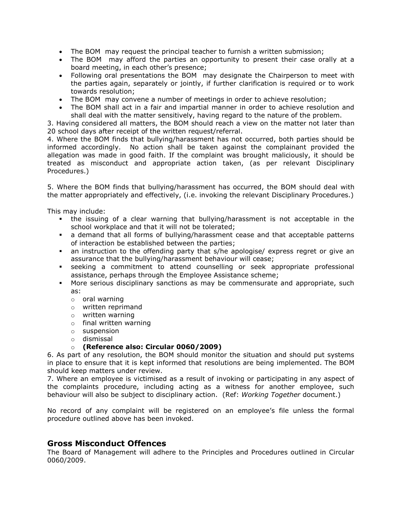- The BOM may request the principal teacher to furnish a written submission;
- The BOM may afford the parties an opportunity to present their case orally at a board meeting, in each other's presence;
- Following oral presentations the BOM may designate the Chairperson to meet with the parties again, separately or jointly, if further clarification is required or to work towards resolution;
- The BOM may convene a number of meetings in order to achieve resolution;
- The BOM shall act in a fair and impartial manner in order to achieve resolution and shall deal with the matter sensitively, having regard to the nature of the problem.

3. Having considered all matters, the BOM should reach a view on the matter not later than 20 school days after receipt of the written request/referral.

4. Where the BOM finds that bullying/harassment has not occurred, both parties should be informed accordingly. No action shall be taken against the complainant provided the allegation was made in good faith. If the complaint was brought maliciously, it should be treated as misconduct and appropriate action taken, (as per relevant Disciplinary Procedures.)

5. Where the BOM finds that bullying/harassment has occurred, the BOM should deal with the matter appropriately and effectively, (i.e. invoking the relevant Disciplinary Procedures.)

This may include:

- the issuing of a clear warning that bullying/harassment is not acceptable in the school workplace and that it will not be tolerated;
- a demand that all forms of bullying/harassment cease and that acceptable patterns of interaction be established between the parties;
- an instruction to the offending party that s/he apologise/ express regret or give an assurance that the bullying/harassment behaviour will cease;
- seeking a commitment to attend counselling or seek appropriate professional assistance, perhaps through the Employee Assistance scheme;
- More serious disciplinary sanctions as may be commensurate and appropriate, such as:
	- o oral warning
	- o written reprimand
	- o written warning
	- o final written warning
	- o suspension
	- o dismissal

# o **(Reference also: Circular 0060/2009)**

6. As part of any resolution, the BOM should monitor the situation and should put systems in place to ensure that it is kept informed that resolutions are being implemented. The BOM should keep matters under review.

7. Where an employee is victimised as a result of invoking or participating in any aspect of the complaints procedure, including acting as a witness for another employee, such behaviour will also be subject to disciplinary action. (Ref: *Working Together* document.)

No record of any complaint will be registered on an employee's file unless the formal procedure outlined above has been invoked.

# **Gross Misconduct Offences**

The Board of Management will adhere to the Principles and Procedures outlined in Circular 0060/2009.